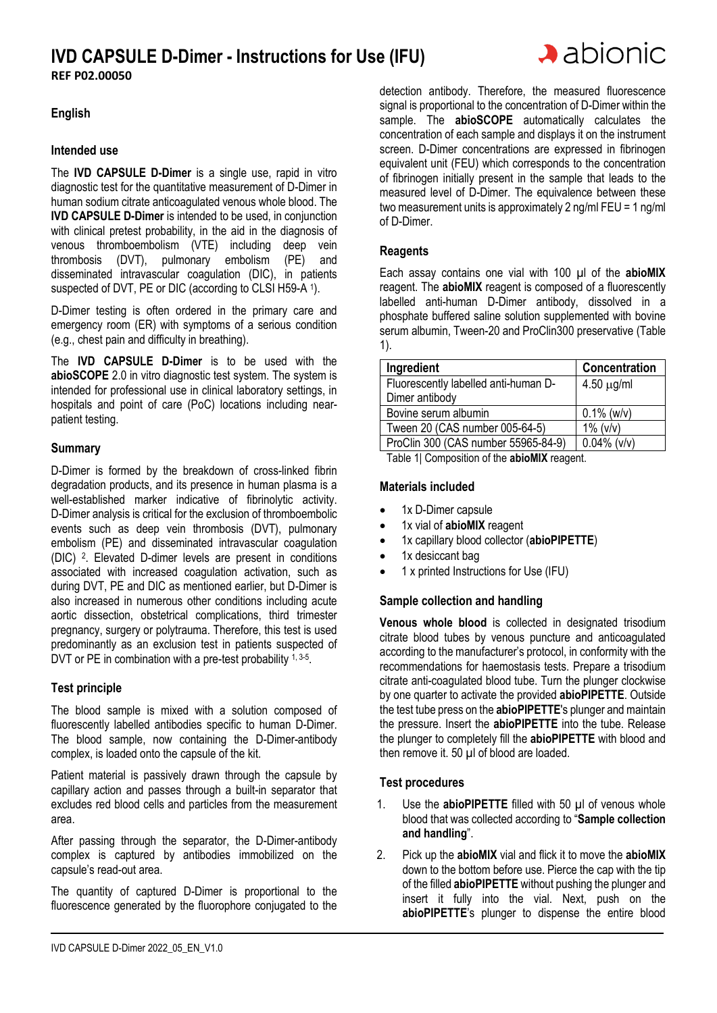# **IVD CAPSULE D-Dimer - Instructions for Use (IFU) REF P02.00050**



# **English**

#### **Intended use**

The **IVD CAPSULE D-Dimer** is a single use, rapid in vitro diagnostic test for the quantitative measurement of D-Dimer in human sodium citrate anticoagulated venous whole blood. The **IVD CAPSULE D-Dimer** is intended to be used, in conjunction with clinical pretest probability, in the aid in the diagnosis of venous thromboembolism (VTE) including deep vein thrombosis (DVT), pulmonary embolism (PE) and disseminated intravascular coagulation (DIC), in patients suspected of DVT, PE or DIC (according to CLSI H59-A 1).

D-Dimer testing is often ordered in the primary care and emergency room (ER) with symptoms of a serious condition (e.g., chest pain and difficulty in breathing).

The **IVD CAPSULE D-Dimer** is to be used with the **abioSCOPE** 2.0 in vitro diagnostic test system. The system is intended for professional use in clinical laboratory settings, in hospitals and point of care (PoC) locations including nearpatient testing.

## **Summary**

D-Dimer is formed by the breakdown of cross-linked fibrin degradation products, and its presence in human plasma is a well-established marker indicative of fibrinolytic activity. D-Dimer analysis is critical for the exclusion of thromboembolic events such as deep vein thrombosis (DVT), pulmonary embolism (PE) and disseminated intravascular coagulation (DIC) <sup>2</sup> . Elevated D-dimer levels are present in conditions associated with increased coagulation activation, such as during DVT, PE and DIC as mentioned earlier, but D-Dimer is also increased in numerous other conditions including acute aortic dissection, obstetrical complications, third trimester pregnancy, surgery or polytrauma. Therefore, this test is used predominantly as an exclusion test in patients suspected of DVT or PE in combination with a pre-test probability 1, 3-5.

#### **Test principle**

The blood sample is mixed with a solution composed of fluorescently labelled antibodies specific to human D-Dimer. The blood sample, now containing the D-Dimer-antibody complex, is loaded onto the capsule of the kit.

Patient material is passively drawn through the capsule by capillary action and passes through a built-in separator that excludes red blood cells and particles from the measurement area.

After passing through the separator, the D-Dimer-antibody complex is captured by antibodies immobilized on the capsule's read-out area.

The quantity of captured D-Dimer is proportional to the fluorescence generated by the fluorophore conjugated to the

detection antibody. Therefore, the measured fluorescence signal is proportional to the concentration of D-Dimer within the sample. The **abioSCOPE** automatically calculates the concentration of each sample and displays it on the instrument screen. D-Dimer concentrations are expressed in fibrinogen equivalent unit (FEU) which corresponds to the concentration of fibrinogen initially present in the sample that leads to the measured level of D-Dimer. The equivalence between these two measurement units is approximately 2 ng/ml FEU = 1 ng/ml of D-Dimer.

## **Reagents**

Each assay contains one vial with 100 µl of the **abioMIX**  reagent. The **abioMIX** reagent is composed of a fluorescently labelled anti-human D-Dimer antibody, dissolved in a phosphate buffered saline solution supplemented with bovine serum albumin, Tween-20 and ProClin300 preservative (Table 1).

| Ingredient                           | Concentration   |
|--------------------------------------|-----------------|
| Fluorescently labelled anti-human D- | $4.50 \mu g/ml$ |
| Dimer antibody                       |                 |
| Bovine serum albumin                 | $0.1\%$ (w/v)   |
| Tween 20 (CAS number 005-64-5)       | $1\%$ ( $v/v$ ) |
| ProClin 300 (CAS number 55965-84-9)  | $0.04\%$ (v/v)  |

Table 1| Composition of the **abioMIX** reagent.

#### **Materials included**

- 1x D-Dimer capsule
- 1x vial of **abioMIX** reagent
- 1x capillary blood collector (**abioPIPETTE**)
- 1x desiccant bag
- 1 x printed Instructions for Use (IFU)

#### **Sample collection and handling**

**Venous whole blood** is collected in designated trisodium citrate blood tubes by venous puncture and anticoagulated according to the manufacturer's protocol, in conformity with the recommendations for haemostasis tests. Prepare a trisodium citrate anti-coagulated blood tube. Turn the plunger clockwise by one quarter to activate the provided **abioPIPETTE**. Outside the test tube press on the **abioPIPETTE**'s plunger and maintain the pressure. Insert the **abioPIPETTE** into the tube. Release the plunger to completely fill the **abioPIPETTE** with blood and then remove it. 50 µl of blood are loaded.

#### **Test procedures**

- 1. Use the **abioPIPETTE** filled with 50 µl of venous whole blood that was collected according to "**Sample collection and handling**".
- 2. Pick up the **abioMIX** vial and flick it to move the **abioMIX** down to the bottom before use. Pierce the cap with the tip of the filled **abioPIPETTE** without pushing the plunger and insert it fully into the vial. Next, push on the **abioPIPETTE**'s plunger to dispense the entire blood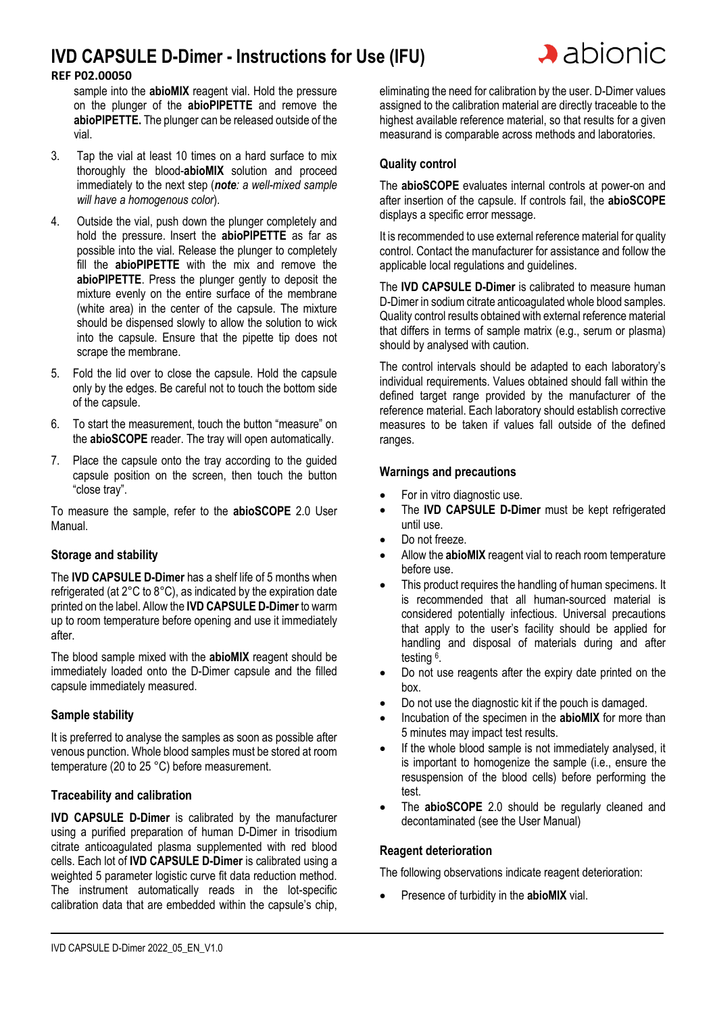# **IVD CAPSULE D-Dimer - Instructions for Use (IFU)**

# **REF P02.00050**

sample into the **abioMIX** reagent vial. Hold the pressure on the plunger of the **abioPIPETTE** and remove the **abioPIPETTE.** The plunger can be released outside of the vial.

- 3. Tap the vial at least 10 times on a hard surface to mix thoroughly the blood-**abioMIX** solution and proceed immediately to the next step (*note: a well-mixed sample will have a homogenous color*).
- 4. Outside the vial, push down the plunger completely and hold the pressure. Insert the **abioPIPETTE** as far as possible into the vial. Release the plunger to completely fill the **abioPIPETTE** with the mix and remove the **abioPIPETTE**. Press the plunger gently to deposit the mixture evenly on the entire surface of the membrane (white area) in the center of the capsule. The mixture should be dispensed slowly to allow the solution to wick into the capsule. Ensure that the pipette tip does not scrape the membrane.
- 5. Fold the lid over to close the capsule. Hold the capsule only by the edges. Be careful not to touch the bottom side of the capsule.
- 6. To start the measurement, touch the button "measure" on the **abioSCOPE** reader. The tray will open automatically.
- 7. Place the capsule onto the tray according to the guided capsule position on the screen, then touch the button "close tray".

To measure the sample, refer to the **abioSCOPE** 2.0 User Manual.

# **Storage and stability**

The **IVD CAPSULE D-Dimer** has a shelf life of 5 months when refrigerated (at 2°C to 8°C), as indicated by the expiration date printed on the label. Allow the **IVD CAPSULE D-Dimer** to warm up to room temperature before opening and use it immediately after.

The blood sample mixed with the **abioMIX** reagent should be immediately loaded onto the D-Dimer capsule and the filled capsule immediately measured.

# **Sample stability**

It is preferred to analyse the samples as soon as possible after venous punction. Whole blood samples must be stored at room temperature (20 to 25 °C) before measurement.

# **Traceability and calibration**

**IVD CAPSULE D-Dimer** is calibrated by the manufacturer using a purified preparation of human D-Dimer in trisodium citrate anticoagulated plasma supplemented with red blood cells. Each lot of **IVD CAPSULE D-Dimer** is calibrated using a weighted 5 parameter logistic curve fit data reduction method. The instrument automatically reads in the lot-specific calibration data that are embedded within the capsule's chip,

eliminating the need for calibration by the user. D-Dimer values assigned to the calibration material are directly traceable to the highest available reference material, so that results for a given measurand is comparable across methods and laboratories.

# **Quality control**

The **abioSCOPE** evaluates internal controls at power-on and after insertion of the capsule. If controls fail, the **abioSCOPE** displays a specific error message.

It is recommended to use external reference material for quality control. Contact the manufacturer for assistance and follow the applicable local regulations and guidelines.

The **IVD CAPSULE D-Dimer** is calibrated to measure human D-Dimer in sodium citrate anticoagulated whole blood samples. Quality control results obtained with external reference material that differs in terms of sample matrix (e.g., serum or plasma) should by analysed with caution.

The control intervals should be adapted to each laboratory's individual requirements. Values obtained should fall within the defined target range provided by the manufacturer of the reference material. Each laboratory should establish corrective measures to be taken if values fall outside of the defined ranges.

# **Warnings and precautions**

- For in vitro diagnostic use.
- The **IVD CAPSULE D-Dimer** must be kept refrigerated until use.
- Do not freeze.
- Allow the **abioMIX** reagent vial to reach room temperature before use.
- This product requires the handling of human specimens. It is recommended that all human-sourced material is considered potentially infectious. Universal precautions that apply to the user's facility should be applied for handling and disposal of materials during and after testing <sup>6</sup> .
- Do not use reagents after the expiry date printed on the box.
- Do not use the diagnostic kit if the pouch is damaged.
- Incubation of the specimen in the **abioMIX** for more than 5 minutes may impact test results.
- If the whole blood sample is not immediately analysed, it is important to homogenize the sample (i.e., ensure the resuspension of the blood cells) before performing the test.
- The **abioSCOPE** 2.0 should be regularly cleaned and decontaminated (see the User Manual)

# **Reagent deterioration**

The following observations indicate reagent deterioration:

• Presence of turbidity in the **abioMIX** vial.

# $\lambda$  abionic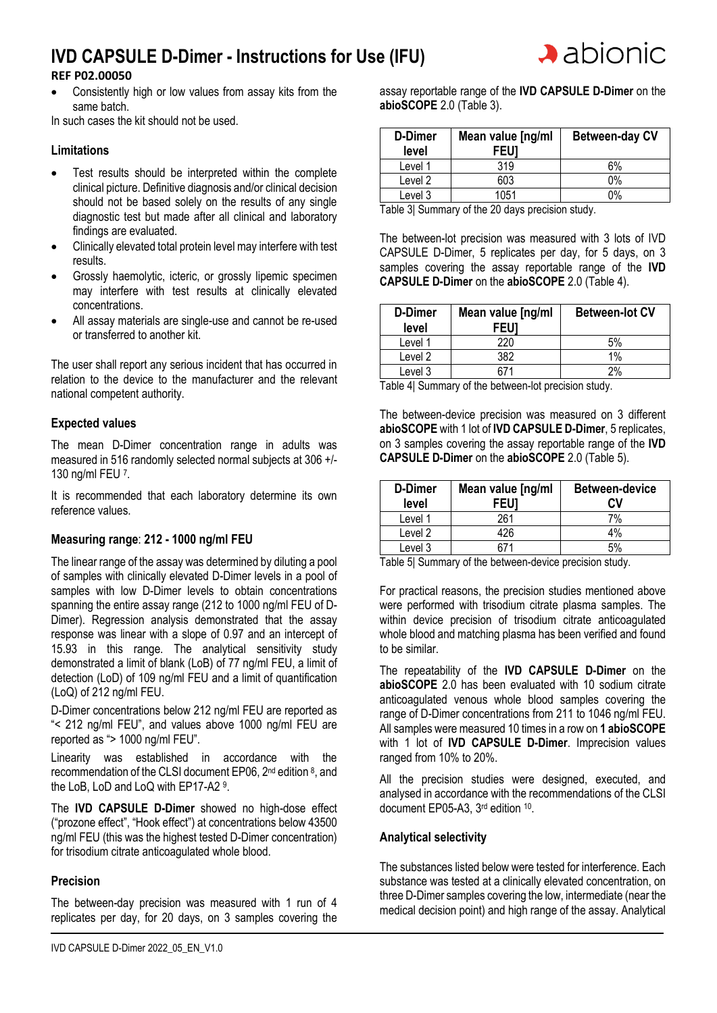# **IVD CAPSULE D-Dimer - Instructions for Use (IFU)**



• Consistently high or low values from assay kits from the same batch.

In such cases the kit should not be used.

## **Limitations**

- Test results should be interpreted within the complete clinical picture. Definitive diagnosis and/or clinical decision should not be based solely on the results of any single diagnostic test but made after all clinical and laboratory findings are evaluated.
- Clinically elevated total protein level may interfere with test results.
- Grossly haemolytic, icteric, or grossly lipemic specimen may interfere with test results at clinically elevated concentrations.
- All assay materials are single-use and cannot be re-used or transferred to another kit.

The user shall report any serious incident that has occurred in relation to the device to the manufacturer and the relevant national competent authority.

## **Expected values**

The mean D-Dimer concentration range in adults was measured in 516 randomly selected normal subjects at 306 +/- 130 ng/ml FEU 7.

It is recommended that each laboratory determine its own reference values.

#### **Measuring range**: **212 - 1000 ng/ml FEU**

The linear range of the assay was determined by diluting a pool of samples with clinically elevated D-Dimer levels in a pool of samples with low D-Dimer levels to obtain concentrations spanning the entire assay range (212 to 1000 ng/ml FEU of D-Dimer). Regression analysis demonstrated that the assay response was linear with a slope of 0.97 and an intercept of 15.93 in this range. The analytical sensitivity study demonstrated a limit of blank (LoB) of 77 ng/ml FEU, a limit of detection (LoD) of 109 ng/ml FEU and a limit of quantification (LoQ) of 212 ng/ml FEU.

D-Dimer concentrations below 212 ng/ml FEU are reported as "< 212 ng/ml FEU", and values above 1000 ng/ml FEU are reported as "> 1000 ng/ml FEU".

Linearity was established in accordance with the recommendation of the CLSI document EP06, 2<sup>nd</sup> edition 8, and the LoB, LoD and LoQ with EP17-A2 9.

The **IVD CAPSULE D-Dimer** showed no high-dose effect ("prozone effect", "Hook effect") at concentrations below 43500 ng/ml FEU (this was the highest tested D-Dimer concentration) for trisodium citrate anticoagulated whole blood.

#### **Precision**

The between-day precision was measured with 1 run of 4 replicates per day, for 20 days, on 3 samples covering the  $\lambda$  abionic

| D-Dimer<br>level | Mean value [ng/ml<br>FEU1 | <b>Between-day CV</b> |
|------------------|---------------------------|-----------------------|
| Level 1          | 319                       | 6%                    |
| Level 2          | 603                       | 0%                    |
| Level 3          | 1051                      | ገ%                    |

Table 3| Summary of the 20 days precision study.

The between-lot precision was measured with 3 lots of IVD CAPSULE D-Dimer, 5 replicates per day, for 5 days, on 3 samples covering the assay reportable range of the **IVD CAPSULE D-Dimer** on the **abioSCOPE** 2.0 (Table 4).

| D-Dimer<br>level | Mean value [ng/ml<br>FEUI | <b>Between-lot CV</b> |
|------------------|---------------------------|-----------------------|
| Level 1          | 220                       | .5%                   |
| Level 2          | 382                       | 1%                    |
| Level 3          |                           | 2%                    |

Table 4| Summary of the between-lot precision study.

The between-device precision was measured on 3 different **abioSCOPE** with 1 lot of **IVD CAPSULE D-Dimer**, 5 replicates, on 3 samples covering the assay reportable range of the **IVD CAPSULE D-Dimer** on the **abioSCOPE** 2.0 (Table 5).

| D-Dimer<br>level | Mean value [ng/ml<br><b>FEU1</b> | <b>Between-device</b><br>CV |
|------------------|----------------------------------|-----------------------------|
| Level 1          | 261                              | 7%                          |
| Level 2          | 426                              | 4%                          |
| Level 3          |                                  |                             |

Table 5| Summary of the between-device precision study.

For practical reasons, the precision studies mentioned above were performed with trisodium citrate plasma samples. The within device precision of trisodium citrate anticoagulated whole blood and matching plasma has been verified and found to be similar.

The repeatability of the **IVD CAPSULE D-Dimer** on the **abioSCOPE** 2.0 has been evaluated with 10 sodium citrate anticoagulated venous whole blood samples covering the range of D-Dimer concentrations from 211 to 1046 ng/ml FEU. All samples were measured 10 times in a row on **1 abioSCOPE** with 1 lot of **IVD CAPSULE D-Dimer**. Imprecision values ranged from 10% to 20%.

All the precision studies were designed, executed, and analysed in accordance with the recommendations of the CLSI document EP05-A3, 3rd edition 10.

#### **Analytical selectivity**

The substances listed below were tested for interference. Each substance was tested at a clinically elevated concentration, on three D-Dimer samples covering the low, intermediate (near the medical decision point) and high range of the assay. Analytical